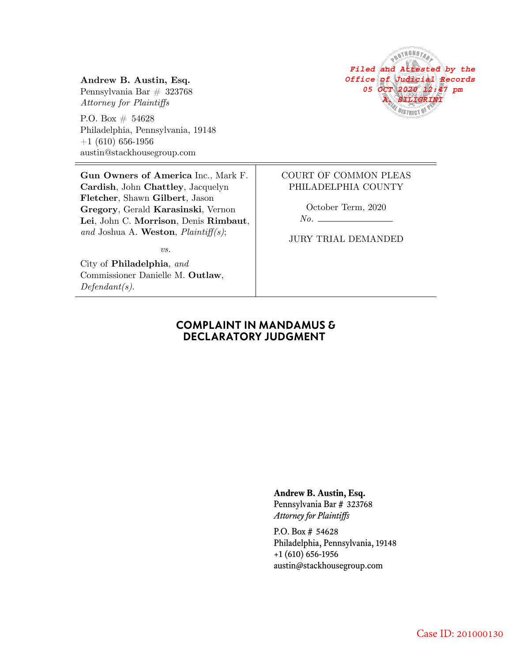# **Andrew B. Austin, Esq.**

Pennsylvania Bar # 323768 *Attorney for Plaintiffs*

P.O. Box  $# 54628$ Philadelphia, Pennsylvania, 19148  $+1$  (610) 656-1956 austin@stackhousegroup.com

**Gun Owners of America** Inc., Mark F. **Cardish**, John **Chattley**, Jacquelyn **Fletcher**, Shawn **Gilbert**, Jason **Gregory**, Gerald **Karasinski**, Vernon **Lei**, John C. **Morrison**, Denis **Rimbaut**, *and* Joshua A. **Weston**, *Plaintiff(s)*;

*vs.*

City of **Philadelphia**, *and* Commissioner Danielle M. **Outlaw**, *Defendant(s)*.



#### COURT OF COMMON PLEAS PHILADELPHIA COUNTY

October Term, 2020

*No.*

JURY TRIAL DEMANDED

#### **COMPLAINT IN MANDAMUS & DECLARATORY JUDGMENT**

**Andrew B. Austin, Esq.**

Pennsylvania Bar # 323768 *Attorney for Plaintiffs*

P.O. Box # 54628 Philadelphia, Pennsylvania, 19148 +1 (610) 656-1956 austin@stackhousegroup.com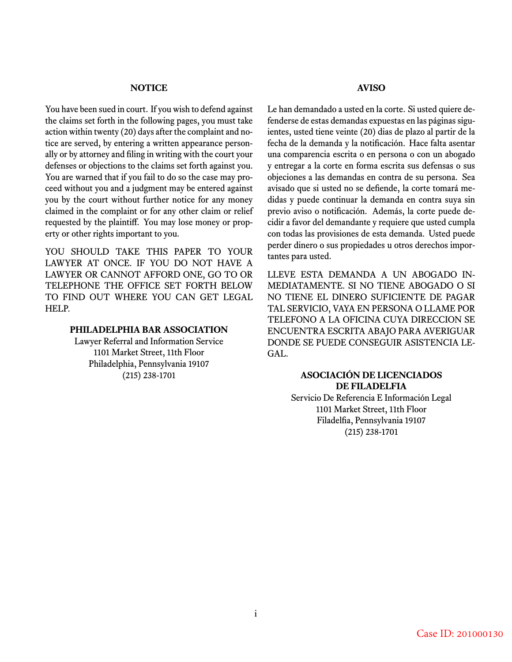#### **NOTICE**

You have been sued in court. If you wish to defend against the claims set forth in the following pages, you must take action within twenty (20) days after the complaint and notice are served, by entering a written appearance personally or by attorney and filing in writing with the court your defenses or objections to the claims set forth against you. You are warned that if you fail to do so the case may proceed without you and a judgment may be entered against you by the court without further notice for any money claimed in the complaint or for any other claim or relief requested by the plaintiff. You may lose money or property or other rights important to you.

YOU SHOULD TAKE THIS PAPER TO YOUR LAWYER AT ONCE. IF YOU DO NOT HAVE A LAWYER OR CANNOT AFFORD ONE, GO TO OR TELEPHONE THE OFFICE SET FORTH BELOW TO FIND OUT WHERE YOU CAN GET LEGAL HELP.

#### **PHILADELPHIA BAR ASSOCIATION**

Lawyer Referral and Information Service 1101 Market Street, 11th Floor Philadelphia, Pennsylvania 19107 (215) 238-1701

#### **AVISO**

Le han demandado a usted en la corte. Si usted quiere defenderse de estas demandas expuestas en las páginas siguientes, usted tiene veinte (20) dias de plazo al partir de la fecha de la demanda y la notificación. Hace falta asentar una comparencia escrita o en persona o con un abogado y entregar a la corte en forma escrita sus defensas o sus objeciones a las demandas en contra de su persona. Sea avisado que si usted no se defiende, la corte tomará medidas y puede continuar la demanda en contra suya sin previo aviso o notificación. Además, la corte puede decidir a favor del demandante y requiere que usted cumpla con todas las provisiones de esta demanda. Usted puede perder dinero o sus propiedades u otros derechos importantes para usted.

LLEVE ESTA DEMANDA A UN ABOGADO IN-MEDIATAMENTE. SI NO TIENE ABOGADO O SI NO TIENE EL DINERO SUFICIENTE DE PAGAR TAL SERVICIO, VAYA EN PERSONA O LLAME POR TELEFONO A LA OFICINA CUYA DIRECCION SE ENCUENTRA ESCRITA ABAJO PARA AVERIGUAR DONDE SE PUEDE CONSEGUIR ASISTENCIA LE-GAL.

#### **ASOCIACIÓN DE LICENCIADOS DE FILADELFIA**

Servicio De Referencia E Información Legal 1101 Market Street, 11th Floor Filadelfia, Pennsylvania 19107 (215) 238-1701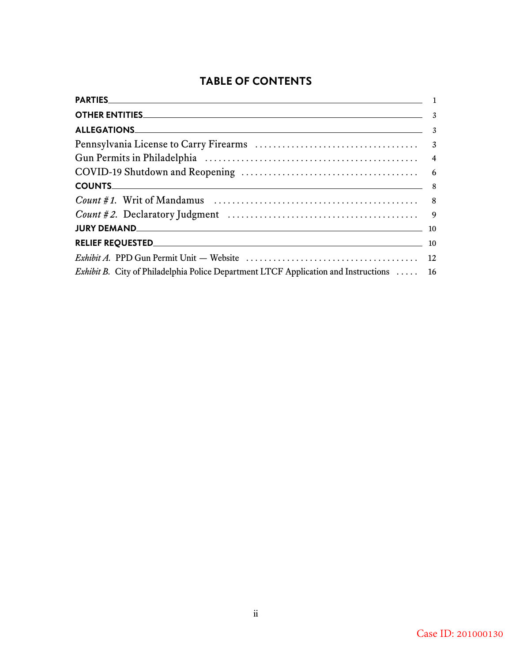# **TABLE OF CONTENTS**

| <b>OTHER ENTITIES.</b> 4                                                                |  |
|-----------------------------------------------------------------------------------------|--|
|                                                                                         |  |
|                                                                                         |  |
|                                                                                         |  |
|                                                                                         |  |
| COUNTS 8                                                                                |  |
|                                                                                         |  |
|                                                                                         |  |
|                                                                                         |  |
|                                                                                         |  |
|                                                                                         |  |
| Exhibit B. City of Philadelphia Police Department LTCF Application and Instructions  16 |  |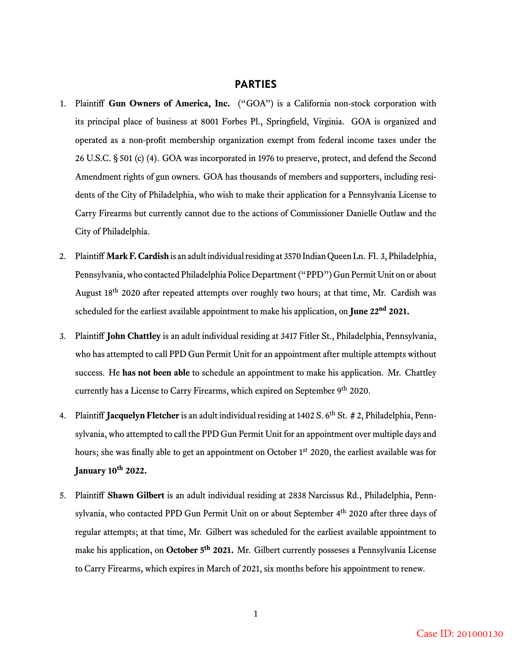#### **PARTIES**

- 1. Plaintiff **Gun Owners of America, Inc.** ("GOA") is a California non-stock corporation with its principal place of business at 8001 Forbes Pl., Springfield, Virginia. GOA is organized and operated as a non-profit membership organization exempt from federal income taxes under the 26 U.S.C. § 501 (c) (4). GOA was incorporated in 1976 to preserve, protect, and defend the Second Amendment rights of gun owners. GOA has thousands of members and supporters, including residents of the City of Philadelphia, who wish to make their application for a Pennsylvania License to Carry Firearms but currently cannot due to the actions of Commissioner Danielle Outlaw and the City of Philadelphia.
- 2. Plaintiff **Mark F. Cardish** is an adult individual residing at 3570 Indian Queen Ln. Fl. 3, Philadelphia, Pennsylvania, who contacted Philadelphia Police Department ("PPD") Gun Permit Unit on or about August 18<sup>th</sup> 2020 after repeated attempts over roughly two hours; at that time, Mr. Cardish was scheduled for the earliest available appointment to make his application, on **June 22nd 2021.**
- 3. Plaintiff **John Chattley** is an adult individual residing at 3417 Fitler St., Philadelphia, Pennsylvania, who has attempted to call PPD Gun Permit Unit for an appointment after multiple attempts without success. He **has not been able** to schedule an appointment to make his application. Mr. Chattley currently has a License to Carry Firearms, which expired on September 9<sup>th</sup> 2020.
- 4. Plaintiff **Jacquelyn Fletcher** is an adult individual residing at 1402 S. 6<sup>th</sup> St. # 2, Philadelphia, Pennsylvania, who attempted to call the PPD Gun Permit Unit for an appointment over multiple days and hours; she was finally able to get an appointment on October 1<sup>st</sup> 2020, the earliest available was for **January 10th 2022.**
- 5. Plaintiff **Shawn Gilbert** is an adult individual residing at 2838 Narcissus Rd., Philadelphia, Pennsylvania, who contacted PPD Gun Permit Unit on or about September 4<sup>th</sup> 2020 after three days of regular attempts; at that time, Mr. Gilbert was scheduled for the earliest available appointment to make his application, on **October 5th 2021.** Mr. Gilbert currently posseses a Pennsylvania License to Carry Firearms, which expires in March of 2021, six months before his appointment to renew.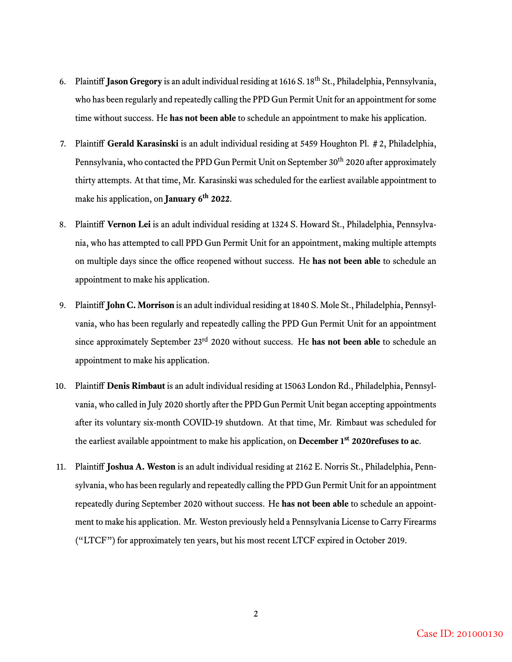- 6. Plaintiff **Jason Gregory** is an adult individual residing at 1616 S. 18th St., Philadelphia, Pennsylvania, who has been regularly and repeatedly calling the PPD Gun Permit Unit for an appointment for some time without success. He **has not been able** to schedule an appointment to make his application.
- 7. Plaintiff **Gerald Karasinski** is an adult individual residing at 5459 Houghton Pl. # 2, Philadelphia, Pennsylvania, who contacted the PPD Gun Permit Unit on September 30<sup>th</sup> 2020 after approximately thirty attempts. At that time, Mr. Karasinski was scheduled for the earliest available appointment to make his application, on **January 6th 2022**.
- 8. Plaintiff **Vernon Lei** is an adult individual residing at 1324 S. Howard St., Philadelphia, Pennsylvania, who has attempted to call PPD Gun Permit Unit for an appointment, making multiple attempts on multiple days since the office reopened without success. He **has not been able** to schedule an appointment to make his application.
- 9. Plaintiff **John C. Morrison** is an adult individual residing at 1840 S. Mole St., Philadelphia, Pennsylvania, who has been regularly and repeatedly calling the PPD Gun Permit Unit for an appointment since approximately September 23<sup>rd</sup> 2020 without success. He **has not been able** to schedule an appointment to make his application.
- 10. Plaintiff **Denis Rimbaut** is an adult individual residing at 15063 London Rd., Philadelphia, Pennsylvania, who called in July 2020 shortly after the PPD Gun Permit Unit began accepting appointments after its voluntary six-month COVID-19 shutdown. At that time, Mr. Rimbaut was scheduled for the earliest available appointment to make his application, on **December 1st 2020refuses to ac**.
- 11. Plaintiff **Joshua A. Weston** is an adult individual residing at 2162 E. Norris St., Philadelphia, Pennsylvania, who has been regularly and repeatedly calling the PPD Gun Permit Unit for an appointment repeatedly during September 2020 without success. He **has not been able** to schedule an appointment to make his application. Mr. Weston previously held a Pennsylvania License to Carry Firearms ("LTCF") for approximately ten years, but his most recent LTCF expired in October 2019.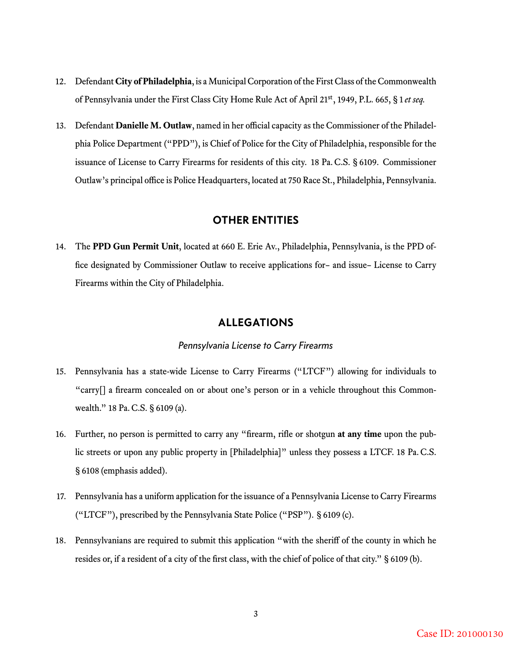- 12. Defendant **City of Philadelphia**, is a Municipal Corporation of the First Class of the Commonwealth of Pennsylvania under the First Class City Home Rule Act of April 21st, 1949, P.L. 665, § 1 *et seq.*
- 13. Defendant **Danielle M. Outlaw**, named in her official capacity as the Commissioner of the Philadelphia Police Department ("PPD"), is Chief of Police for the City of Philadelphia, responsible for the issuance of License to Carry Firearms for residents of this city. 18 Pa. C.S. § 6109. Commissioner Outlaw's principal office is Police Headquarters, located at 750 Race St., Philadelphia, Pennsylvania.

#### **OTHER ENTITIES**

14. The **PPD Gun Permit Unit**, located at 660 E. Erie Av., Philadelphia, Pennsylvania, is the PPD office designated by Commissioner Outlaw to receive applications for– and issue– License to Carry Firearms within the City of Philadelphia.

#### **ALLEGATIONS**

#### *Pennsylvania License to Carry Firearms*

- 15. Pennsylvania has a state-wide License to Carry Firearms ("LTCF") allowing for individuals to "carry[] a firearm concealed on or about one's person or in a vehicle throughout this Commonwealth." 18 Pa. C.S. § 6109 (a).
- 16. Further, no person is permitted to carry any "firearm, rifle or shotgun **at any time** upon the public streets or upon any public property in [Philadelphia]" unless they possess a LTCF. 18 Pa. C.S. § 6108 (emphasis added).
- 17. Pennsylvania has a uniform application for the issuance of a Pennsylvania License to Carry Firearms ("LTCF"), prescribed by the Pennsylvania State Police ("PSP"). § 6109 (c).
- 18. Pennsylvanians are required to submit this application "with the sheriff of the county in which he resides or, if a resident of a city of the first class, with the chief of police of that city." § 6109 (b).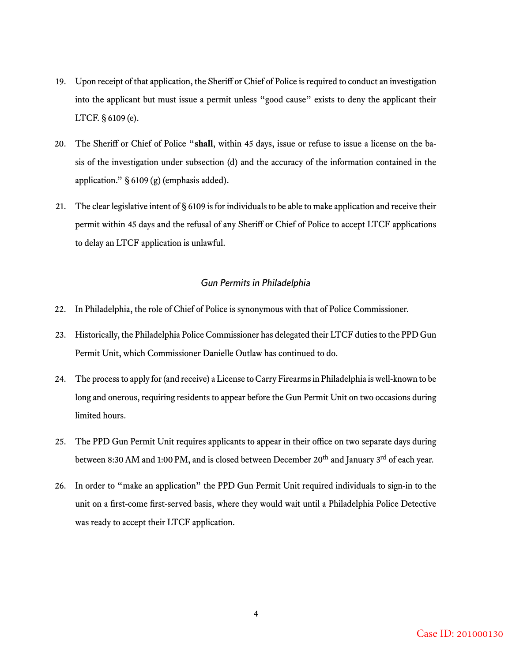- 19. Upon receipt of that application, the Sheriff or Chief of Police is required to conduct an investigation into the applicant but must issue a permit unless "good cause" exists to deny the applicant their LTCF. § 6109 (e).
- 20. The Sheriff or Chief of Police "**shall**, within 45 days, issue or refuse to issue a license on the basis of the investigation under subsection (d) and the accuracy of the information contained in the application." § 6109 (g) (emphasis added).
- 21. The clear legislative intent of § 6109 is for individuals to be able to make application and receive their permit within 45 days and the refusal of any Sheriff or Chief of Police to accept LTCF applications to delay an LTCF application is unlawful.

#### *Gun Permits in Philadelphia*

- 22. In Philadelphia, the role of Chief of Police is synonymous with that of Police Commissioner.
- 23. Historically, the Philadelphia Police Commissioner has delegated their LTCF duties to the PPD Gun Permit Unit, which Commissioner Danielle Outlaw has continued to do.
- 24. The process to apply for (and receive) a License to Carry Firearms in Philadelphia is well-known to be long and onerous, requiring residents to appear before the Gun Permit Unit on two occasions during limited hours.
- 25. The PPD Gun Permit Unit requires applicants to appear in their office on two separate days during between 8:30 AM and 1:00 PM, and is closed between December 20<sup>th</sup> and January 3<sup>rd</sup> of each year.
- 26. In order to "make an application" the PPD Gun Permit Unit required individuals to sign-in to the unit on a first-come first-served basis, where they would wait until a Philadelphia Police Detective was ready to accept their LTCF application.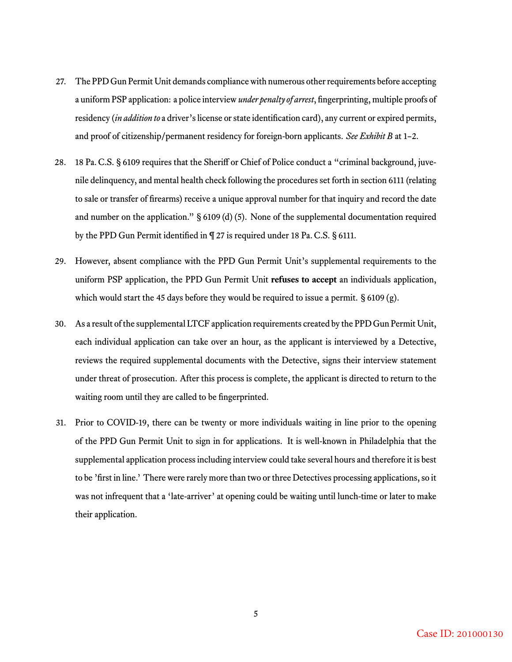- 27. The PPD Gun Permit Unit demands compliance with numerous other requirements before accepting a uniform PSP application: a police interview*under penalty of arrest*, fingerprinting, multiple proofs of residency (*in addition to* a driver's license or state identification card), any current or expired permits, and proof of citizenship/permanent residency for foreign-born applicants. *See Exhibit B* at 1–2.
- 28. 18 Pa. C.S. § 6109 requires that the Sheriff or Chief of Police conduct a "criminal background, juvenile delinquency, and mental health check following the procedures set forth in section 6111 (relating to sale or transfer of firearms) receive a unique approval number for that inquiry and record the date and number on the application." § 6109 (d) (5). None of the supplemental documentation required by the PPD Gun Permit identified in ¶ 27 is required under 18 Pa. C.S. § 6111.
- 29. However, absent compliance with the PPD Gun Permit Unit's supplemental requirements to the uniform PSP application, the PPD Gun Permit Unit **refuses to accept** an individuals application, which would start the 45 days before they would be required to issue a permit.  $\S 6109 (g)$ .
- 30. As a result of the supplemental LTCF application requirements created by the PPD Gun Permit Unit, each individual application can take over an hour, as the applicant is interviewed by a Detective, reviews the required supplemental documents with the Detective, signs their interview statement under threat of prosecution. After this process is complete, the applicant is directed to return to the waiting room until they are called to be fingerprinted.
- 31. Prior to COVID-19, there can be twenty or more individuals waiting in line prior to the opening of the PPD Gun Permit Unit to sign in for applications. It is well-known in Philadelphia that the supplemental application process including interview could take several hours and therefore it is best to be 'first in line.' There were rarely more than two or three Detectives processing applications, so it was not infrequent that a ʻlate-arriver' at opening could be waiting until lunch-time or later to make their application.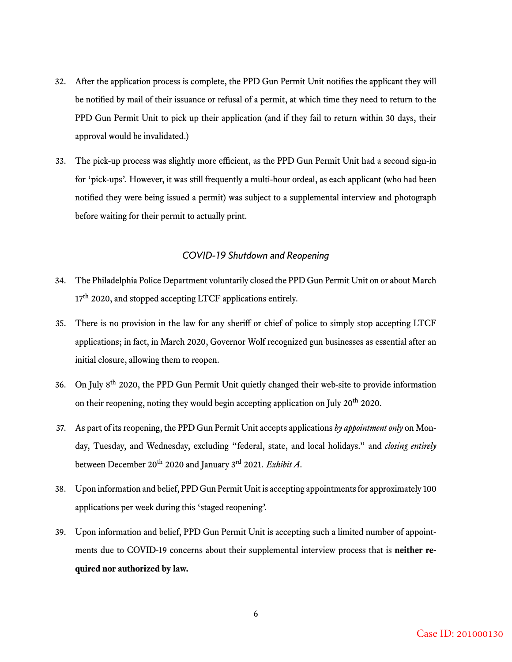- 32. After the application process is complete, the PPD Gun Permit Unit notifies the applicant they will be notified by mail of their issuance or refusal of a permit, at which time they need to return to the PPD Gun Permit Unit to pick up their application (and if they fail to return within 30 days, their approval would be invalidated.)
- 33. The pick-up process was slightly more efficient, as the PPD Gun Permit Unit had a second sign-in for ʻpick-ups'. However, it was still frequently a multi-hour ordeal, as each applicant (who had been notified they were being issued a permit) was subject to a supplemental interview and photograph before waiting for their permit to actually print.

#### *COVID-19 Shutdown and Reopening*

- 34. The Philadelphia Police Department voluntarily closed the PPD Gun Permit Unit on or about March  $17<sup>th</sup>$  2020, and stopped accepting LTCF applications entirely.
- 35. There is no provision in the law for any sheriff or chief of police to simply stop accepting LTCF applications; in fact, in March 2020, Governor Wolf recognized gun businesses as essential after an initial closure, allowing them to reopen.
- 36. On July 8th 2020, the PPD Gun Permit Unit quietly changed their web-site to provide information on their reopening, noting they would begin accepting application on July 20<sup>th</sup> 2020.
- 37. As part of its reopening, the PPD Gun Permit Unit accepts applications *by appointment only* on Monday, Tuesday, and Wednesday, excluding "federal, state, and local holidays." and *closing entirely* between December 20th 2020 and January 3rd 2021. *Exhibit A*.
- 38. Upon information and belief, PPD Gun Permit Unit is accepting appointments for approximately 100 applications per week during this ʻstaged reopening'.
- 39. Upon information and belief, PPD Gun Permit Unit is accepting such a limited number of appointments due to COVID-19 concerns about their supplemental interview process that is **neither required nor authorized by law.**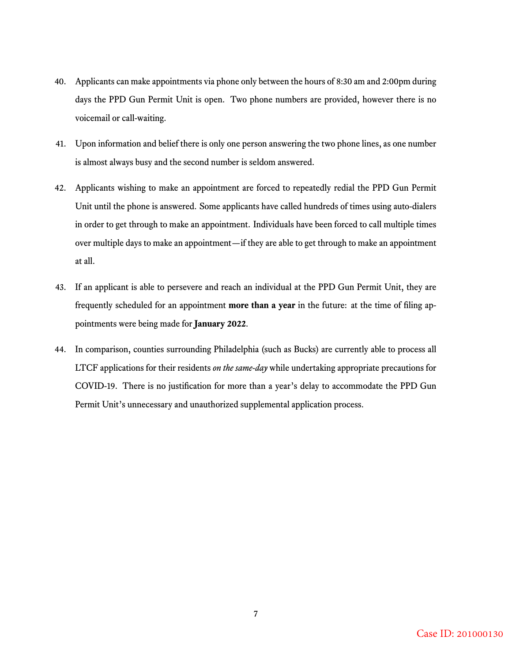- 40. Applicants can make appointments via phone only between the hours of 8:30 am and 2:00pm during days the PPD Gun Permit Unit is open. Two phone numbers are provided, however there is no voicemail or call-waiting.
- 41. Upon information and belief there is only one person answering the two phone lines, as one number is almost always busy and the second number is seldom answered.
- 42. Applicants wishing to make an appointment are forced to repeatedly redial the PPD Gun Permit Unit until the phone is answered. Some applicants have called hundreds of times using auto-dialers in order to get through to make an appointment. Individuals have been forced to call multiple times over multiple days to make an appointment—if they are able to get through to make an appointment at all.
- 43. If an applicant is able to persevere and reach an individual at the PPD Gun Permit Unit, they are frequently scheduled for an appointment **more than a year** in the future: at the time of filing appointments were being made for **January 2022**.
- 44. In comparison, counties surrounding Philadelphia (such as Bucks) are currently able to process all LTCF applications for their residents *on the same-day* while undertaking appropriate precautions for COVID-19. There is no justification for more than a year's delay to accommodate the PPD Gun Permit Unit's unnecessary and unauthorized supplemental application process.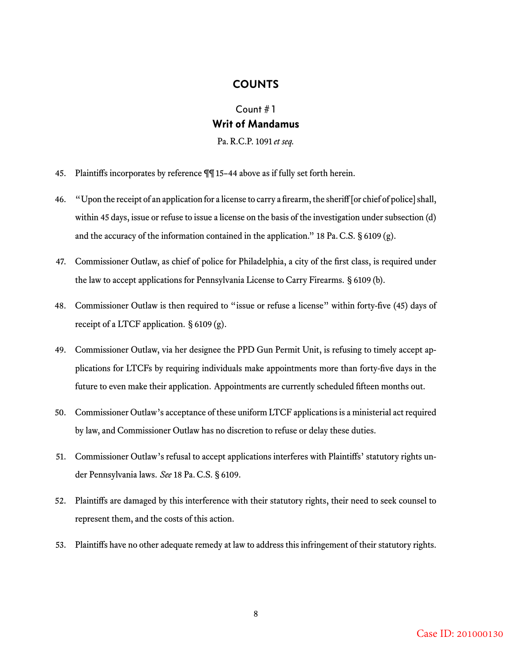#### **COUNTS**

## Count # 1 **Writ of Mandamus** Pa. R.C.P. 1091 *et seq.*

- 45. Plaintiffs incorporates by reference ¶¶ 15–44 above as if fully set forth herein.
- 46. "Upon the receipt of an application for a license to carry a firearm, the sheriff [or chief of police] shall, within 45 days, issue or refuse to issue a license on the basis of the investigation under subsection (d) and the accuracy of the information contained in the application." 18 Pa. C.S.  $\S 6109 (g)$ .
- 47. Commissioner Outlaw, as chief of police for Philadelphia, a city of the first class, is required under the law to accept applications for Pennsylvania License to Carry Firearms. § 6109 (b).
- 48. Commissioner Outlaw is then required to "issue or refuse a license" within forty-five (45) days of receipt of a LTCF application. § 6109 (g).
- 49. Commissioner Outlaw, via her designee the PPD Gun Permit Unit, is refusing to timely accept applications for LTCFs by requiring individuals make appointments more than forty-five days in the future to even make their application. Appointments are currently scheduled fifteen months out.
- 50. Commissioner Outlaw's acceptance of these uniform LTCF applications is a ministerial act required by law, and Commissioner Outlaw has no discretion to refuse or delay these duties.
- 51. Commissioner Outlaw's refusal to accept applications interferes with Plaintiffs' statutory rights under Pennsylvania laws. *See* 18 Pa. C.S. § 6109.
- 52. Plaintiffs are damaged by this interference with their statutory rights, their need to seek counsel to represent them, and the costs of this action.
- 53. Plaintiffs have no other adequate remedy at law to address this infringement of their statutory rights.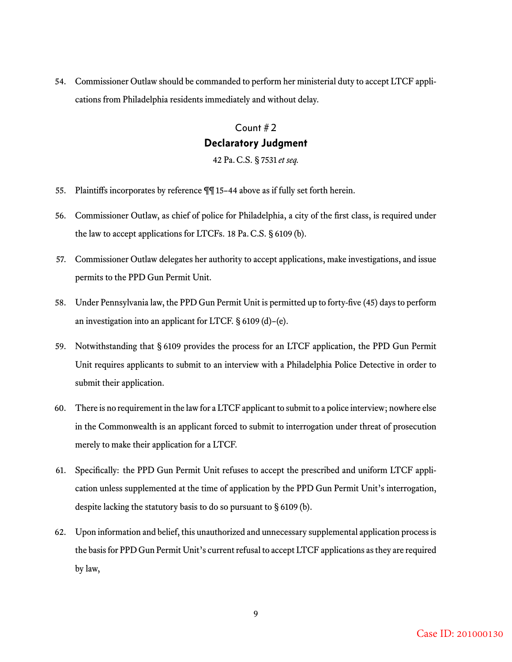54. Commissioner Outlaw should be commanded to perform her ministerial duty to accept LTCF applications from Philadelphia residents immediately and without delay.

## Count # 2 **Declaratory Judgment**

42 Pa. C.S. § 7531 *et seq.*

- 55. Plaintiffs incorporates by reference ¶¶ 15–44 above as if fully set forth herein.
- 56. Commissioner Outlaw, as chief of police for Philadelphia, a city of the first class, is required under the law to accept applications for LTCFs. 18 Pa. C.S. § 6109 (b).
- 57. Commissioner Outlaw delegates her authority to accept applications, make investigations, and issue permits to the PPD Gun Permit Unit.
- 58. Under Pennsylvania law, the PPD Gun Permit Unit is permitted up to forty-five (45) days to perform an investigation into an applicant for LTCF. § 6109 (d)–(e).
- 59. Notwithstanding that § 6109 provides the process for an LTCF application, the PPD Gun Permit Unit requires applicants to submit to an interview with a Philadelphia Police Detective in order to submit their application.
- 60. There is no requirement in the law for a LTCF applicant to submit to a police interview; nowhere else in the Commonwealth is an applicant forced to submit to interrogation under threat of prosecution merely to make their application for a LTCF.
- 61. Specifically: the PPD Gun Permit Unit refuses to accept the prescribed and uniform LTCF application unless supplemented at the time of application by the PPD Gun Permit Unit's interrogation, despite lacking the statutory basis to do so pursuant to § 6109 (b).
- 62. Upon information and belief, this unauthorized and unnecessary supplemental application process is the basis for PPD Gun Permit Unit's current refusal to accept LTCF applications as they are required by law,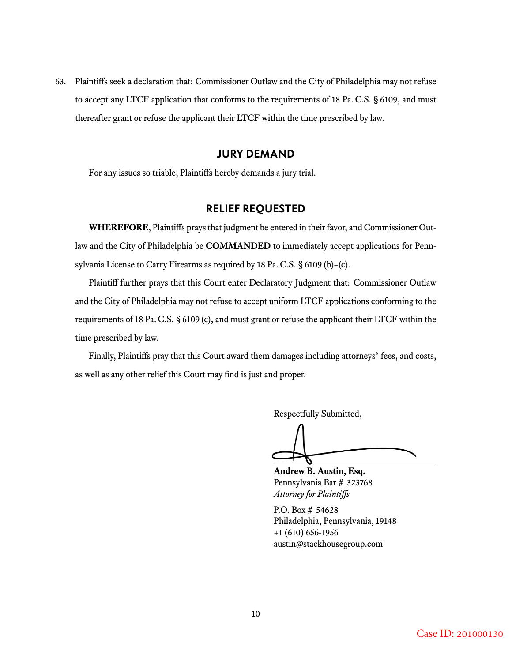63. Plaintiffs seek a declaration that: Commissioner Outlaw and the City of Philadelphia may not refuse to accept any LTCF application that conforms to the requirements of 18 Pa. C.S. § 6109, and must thereafter grant or refuse the applicant their LTCF within the time prescribed by law.

#### **JURY DEMAND**

For any issues so triable, Plaintiffs hereby demands a jury trial.

#### **RELIEF REQUESTED**

**WHEREFORE**, Plaintiffs prays that judgment be entered in their favor, and Commissioner Outlaw and the City of Philadelphia be **COMMANDED** to immediately accept applications for Pennsylvania License to Carry Firearms as required by 18 Pa. C.S. § 6109 (b)–(c).

Plaintiff further prays that this Court enter Declaratory Judgment that: Commissioner Outlaw and the City of Philadelphia may not refuse to accept uniform LTCF applications conforming to the requirements of 18 Pa. C.S. § 6109 (c), and must grant or refuse the applicant their LTCF within the time prescribed by law.

Finally, Plaintiffs pray that this Court award them damages including attorneys' fees, and costs, as well as any other relief this Court may find is just and proper.

Respectfully Submitted,

**Andrew B. Austin, Esq.** Pennsylvania Bar # 323768 *Attorney for Plaintiffs*

P.O. Box # 54628 Philadelphia, Pennsylvania, 19148 +1 (610) 656-1956 austin@stackhousegroup.com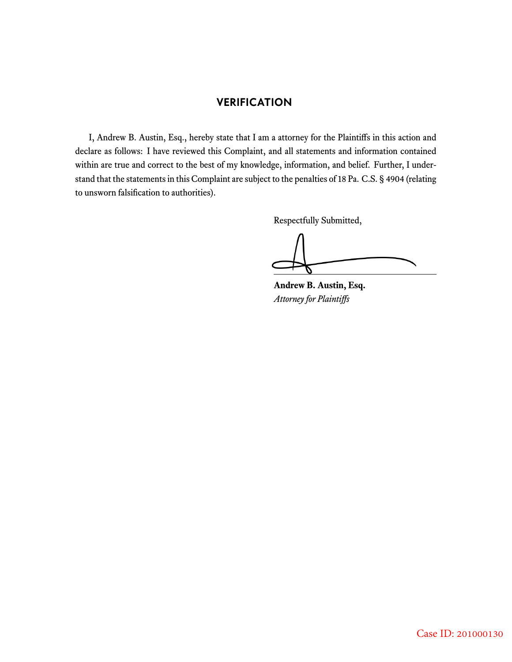### **VERIFICATION**

I, Andrew B. Austin, Esq., hereby state that I am a attorney for the Plaintiffs in this action and declare as follows: I have reviewed this Complaint, and all statements and information contained within are true and correct to the best of my knowledge, information, and belief. Further, I understand that the statements in this Complaint are subject to the penalties of 18 Pa. C.S. § 4904 (relating to unsworn falsification to authorities).

Respectfully Submitted,

**Andrew B. Austin, Esq.** *Attorney for Plaintiffs*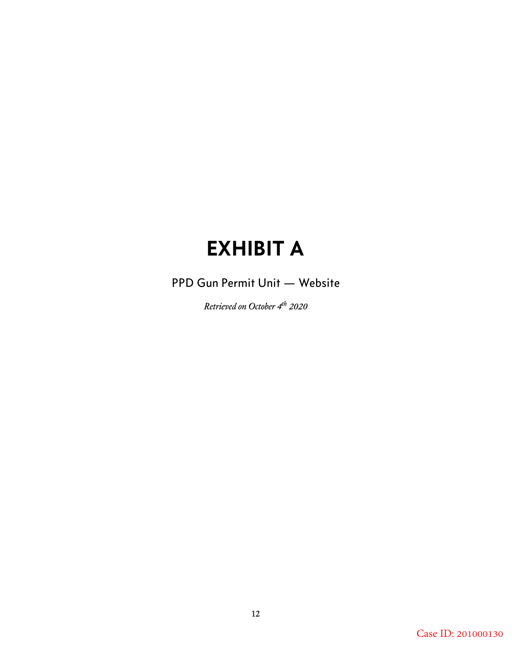# **EXHIBIT A**

# PPD Gun Permit Unit — Website

*Retrieved on October 4th 2020*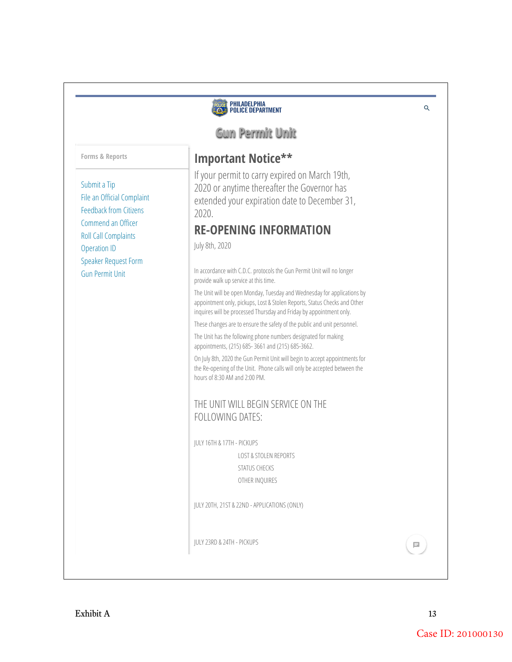# |<br>| Philadelphia<br>|} Police Department POLICE  $Q$ **Gun Permit Unit Important Notice\*\*** If your permit to carry expired on March 19th, 2020 or anytime thereafter the Governor has extended your expiration date to December 31, 2020. **RE-OPENING INFORMATION**  July 8th, 2020 In accordance with C.D.C. protocols the Gun Permit Unit will no longer provide walk up service at this time. The Unit will be open Monday, Tuesday and Wednesday for applications by appointment only, pickups, Lost & Stolen Reports, Status Checks and Other inquires will be processed Thursday and Friday by appointment only. These changes are to ensure the safety of the public and unit personnel. The Unit has the following phone numbers designated for making appointments, (215) 685- 3661 and (215) 685-3662. On July 8th, 2020 the Gun Permit Unit will begin to accept appointments for the Re-opening of the Unit. Phone calls will only be accepted between the hours of 8:30 AM and 2:00 PM. THE UNIT WILL BEGIN SERVICE ON THE FOLLOWING DATES: JULY 16TH & 17TH - PICKUPS LOST & STOLEN REPORTS STATUS CHECKS OTHER INQUIRES JULY 20TH, 21ST & 22ND - APPLICATIONS (ONLY) JULY 23RD & 24TH - PICKUPS  $\Box$

**Forms & Reports**

Submit a Tip File an Official Complaint Feedback from Citizens Commend an Officer Roll Call Complaints Operation ID Speaker Request Form Gun Permit Unit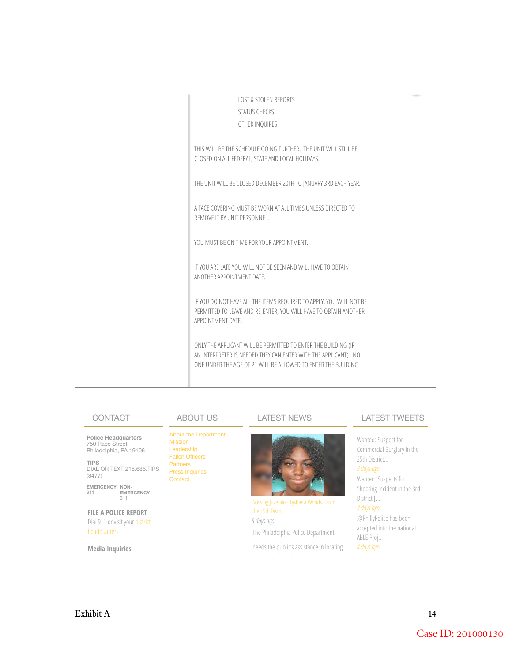| <b>LOST &amp; STOLEN REPORTS</b><br>STATUS CHECKS<br>OTHER INQUIRES                                                                                                                                 |
|-----------------------------------------------------------------------------------------------------------------------------------------------------------------------------------------------------|
| THIS WILL BE THE SCHEDULE GOING FURTHER. THE UNIT WILL STILL BE<br>CLOSED ON ALL FEDERAL, STATE AND LOCAL HOLIDAYS.                                                                                 |
| THE UNIT WILL BE CLOSED DECEMBER 20TH TO JANUARY 3RD EACH YEAR.                                                                                                                                     |
| A FACE COVERING MUST BE WORN AT ALL TIMES UNLESS DIRECTED TO<br>REMOVE IT BY UNIT PERSONNEL.                                                                                                        |
| YOU MUST BE ON TIME FOR YOUR APPOINTMENT.                                                                                                                                                           |
| IF YOU ARE LATE YOU WILL NOT BE SEEN AND WILL HAVE TO OBTAIN<br>ANOTHER APPOINTMENT DATE.                                                                                                           |
| IF YOU DO NOT HAVE ALL THE ITEMS REQUIRED TO APPLY, YOU WILL NOT BE<br>PERMITTED TO LEAVE AND RE-ENTER, YOU WILL HAVE TO OBTAIN ANOTHER<br>APPOINTMENT DATE.                                        |
| ONLY THE APPLICANT WILL BE PERMITTED TO ENTER THE BUILDING (IF<br>AN INTERPRETER IS NEEDED THEY CAN ENTER WITH THE APPLICANT). NO<br>ONE UNDER THE AGE OF 21 WILL BE ALLOWED TO ENTER THE BUILDING. |
|                                                                                                                                                                                                     |

#### **CONTACT**

**Police Headquarters** 750 Race Street Philadelphia, PA 19106

**TIPS** DIAL OR TEXT 215.686.TIPS (8477)

**EMERGENCY NON-<br>911 EMERGENCY<br>311** 

**FILE A POLICE REPORT** Dial 911 or visit your district headquarters

**Media Inquiries**

#### ABOUT US

About the Department Mission Leadership Fallen O fficers Partners Press Inquiries Contact

LATEST NEWS

Missing Juvenile - Tyshiera Woods - From *5 days ago* The Philadelphia Police Department

needs the public's assistance in locating

#### LATEST TWEETS

Wanted: Suspect for Commercial Burglary in the 25th District...

Wanted: Suspects for Shooting Incident in the 3rd District [...

.@PhillyPolice has been accepted into the national ABLE Proj... *4 days ago*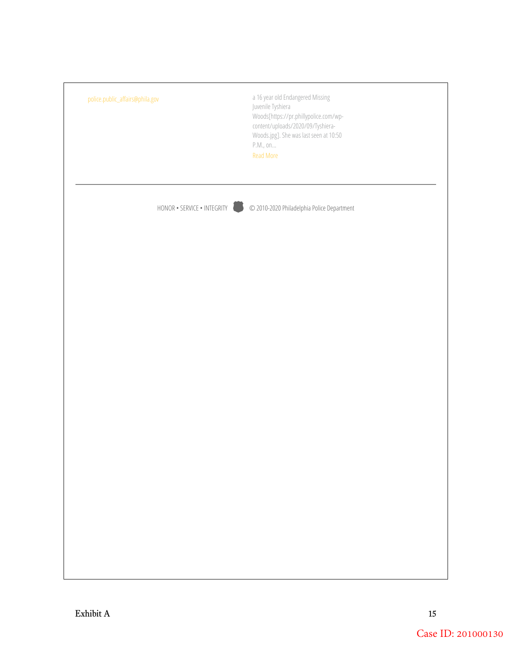| police.public_affairs@phila.gov | a 16 year old Endangered Missing<br>Juvenile Tyshiera<br>Woods[https://pr.phillypolice.com/wp-<br>content/uploads/2020/09/Tyshiera-<br>Woods.jpg]. She was last seen at 10:50<br>$\mathsf{P.M.},\, \mathsf{on}$<br><b>Read More</b> |
|---------------------------------|-------------------------------------------------------------------------------------------------------------------------------------------------------------------------------------------------------------------------------------|
| HONOR • SERVICE • INTEGRITY     | © 2010-2020 Philadelphia Police Department                                                                                                                                                                                          |
|                                 |                                                                                                                                                                                                                                     |
|                                 |                                                                                                                                                                                                                                     |
|                                 |                                                                                                                                                                                                                                     |
|                                 |                                                                                                                                                                                                                                     |
|                                 |                                                                                                                                                                                                                                     |
|                                 |                                                                                                                                                                                                                                     |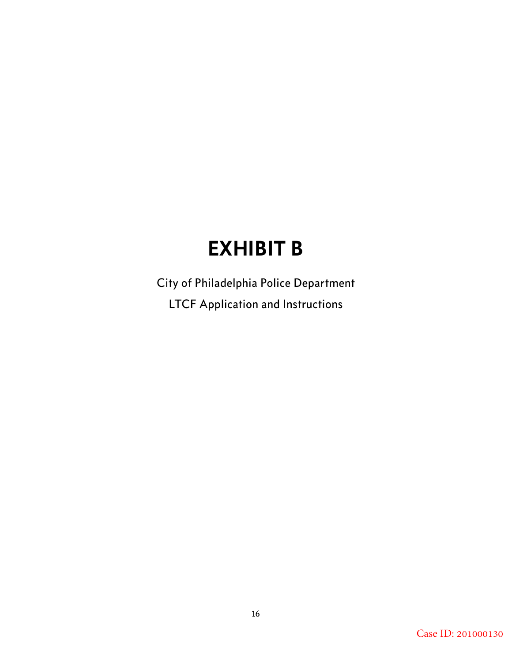# **EXHIBIT B**

City of Philadelphia Police Department LTCF Application and Instructions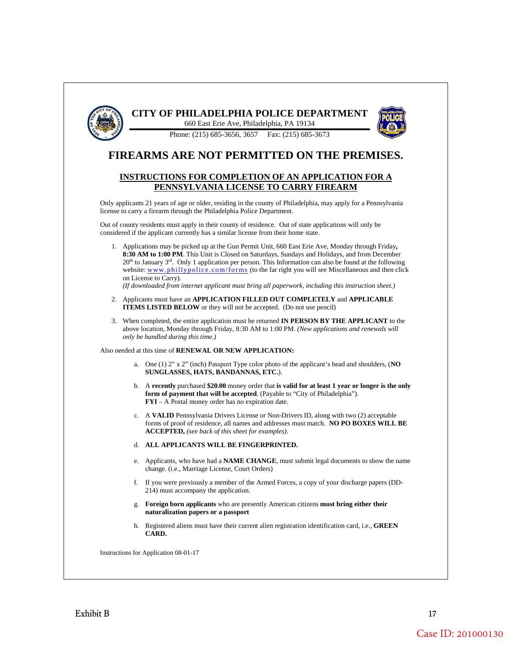

### **CITY OF PHILADELPHIA POLICE DEPARTMENT**





### **FIREARMS ARE NOT PERMITTED ON THE PREMISES.**

#### **INSTRUCTIONS FOR COMPLETION OF AN APPLICATION FOR A PENNSYLVANIA LICENSE TO CARRY FIREARM**

Only applicants 21 years of age or older, residing in the county of Philadelphia, may apply for a Pennsylvania license to carry a firearm through the Philadelphia Police Department.

Out of county residents must apply in their county of residence. Out of state applications will only be considered if the applicant currently has a similar license from their home state.

1. Applications may be picked up at the Gun Permit Unit, 660 East Erie Ave, Monday through Friday**, 8:30 AM to 1:00 PM**. This Unit is Closed on Saturdays, Sundays and Holidays, and from December  $20<sup>th</sup>$  to January  $3<sup>rd</sup>$ . Only 1 application per person. This Information can also be found at the following website: www.phillypolice.com/forms (to the far right you will see Miscellaneous and then click on License to Carry).

*(If downloaded from internet applicant must bring all paperwork, including this instruction sheet.)* 

- 2. Applicants must have an **APPLICATION FILLED OUT COMPLETELY** and **APPLICABLE ITEMS LISTED BELOW** or they will not be accepted. (Do not use pencil)
- 3. When completed, the entire application must be returned **IN PERSON BY THE APPLICANT** to the above location, Monday through Friday, 8:30 AM to 1:00 PM. *(New applications and renewals will only be handled during this time.)*

Also needed at this time of **RENEWAL OR NEW APPLICATION :**

- a. One (1) 2" x 2" (inch) Passport Type color photo of the applicant's head and shoulders, (**NO SUNGLASSES, HATS, BANDANNAS, ETC.**).
- b. A **recently** purchased **\$20.00** money order that **is valid for at least 1 year or longer is the only form of payment that will be accepted**. (Payable to "City of Philadelphia"). **FYI** – A Postal money order has no expiration date.
- c. A **VALID** Pennsylvania Drivers License or Non -Drivers ID, along with two (2) acceptable forms of proof of residence, all names and addresses must match. **NO PO BOXES WILL BE ACCEPTED,** *(see back of this sheet for examples)*.
- d. **ALL APPLICANTS WILL BE FINGERPRINTED .**
- e. Applicants, who have had a **NAME CHANGE**, must submit legal documents to show the name change. (i.e., Marriage License, Court Orders)
- f. If you were previously a member of the Armed Forces, a copy of your discharge papers (DD 214) must accompany the application.
- g. **Foreign born applicants** who are presently American citizens **must bring either their naturalization papers or a passport**
- h. Registered aliens must have their current alien registration identification card, i.e., **GREEN CARD .**

Instructions for Application 08-01-17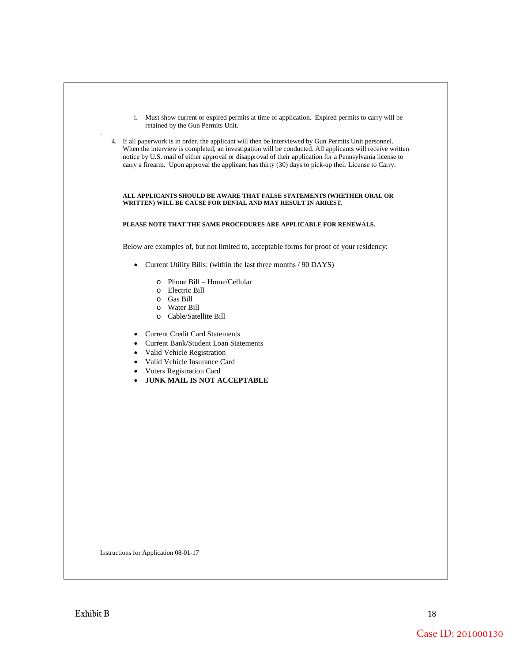| i. Must show current or expired permits at time of application. Expired permits to carry will be<br>retained by the Gun Permits Unit.                                                                                                                                                                                                                                                                                                  |
|----------------------------------------------------------------------------------------------------------------------------------------------------------------------------------------------------------------------------------------------------------------------------------------------------------------------------------------------------------------------------------------------------------------------------------------|
| 4. If all paperwork is in order, the applicant will then be interviewed by Gun Permits Unit personnel.<br>When the interview is completed, an investigation will be conducted. All applicants will receive written<br>notice by U.S. mail of either approval or disapproval of their application for a Pennsylvania license to<br>carry a firearm. Upon approval the applicant has thirty (30) days to pick-up their License to Carry. |
| ALL APPLICANTS SHOULD BE AWARE THAT FALSE STATEMENTS (WHETHER ORAL OR<br>WRITTEN) WILL BE CAUSE FOR DENIAL AND MAY RESULT IN ARREST.                                                                                                                                                                                                                                                                                                   |
| PLEASE NOTE THAT THE SAME PROCEDURES ARE APPLICABLE FOR RENEWALS.                                                                                                                                                                                                                                                                                                                                                                      |
| Below are examples of, but not limited to, acceptable forms for proof of your residency:                                                                                                                                                                                                                                                                                                                                               |
| • Current Utility Bills: (within the last three months / 90 DAYS)                                                                                                                                                                                                                                                                                                                                                                      |
| $\circ$ Phone Bill – Home/Cellular<br>o Electric Bill<br>o Gas Bill<br>o Water Bill<br>o Cable/Satellite Bill<br>• Current Credit Card Statements                                                                                                                                                                                                                                                                                      |
| • Current Bank/Student Loan Statements<br>• Valid Vehicle Registration<br>• Valid Vehicle Insurance Card                                                                                                                                                                                                                                                                                                                               |
| • Voters Registration Card<br>• JUNK MAIL IS NOT ACCEPTABLE                                                                                                                                                                                                                                                                                                                                                                            |
|                                                                                                                                                                                                                                                                                                                                                                                                                                        |
| Instructions for Application 08-01-17                                                                                                                                                                                                                                                                                                                                                                                                  |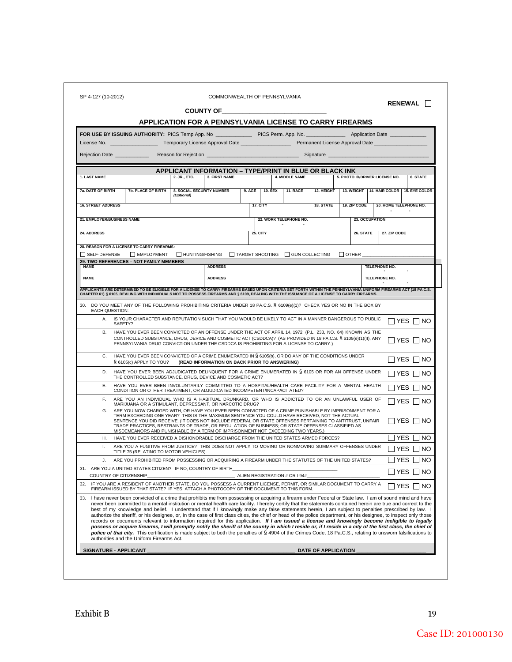|                            |                                                                                                                                                                                                                                                                                                                                                                                                                                                                                                                                                                                                                                                                                                                                                                                                                                                                                                                                                                                                                                                                                                                                                                                                                                  |                                                                                                                                                                                                                                      |                                                                                                                                                                                                                                      |                               |                |                        |                                                                                                       |              |                |                                | <b>RENEWAL</b>                                               |
|----------------------------|----------------------------------------------------------------------------------------------------------------------------------------------------------------------------------------------------------------------------------------------------------------------------------------------------------------------------------------------------------------------------------------------------------------------------------------------------------------------------------------------------------------------------------------------------------------------------------------------------------------------------------------------------------------------------------------------------------------------------------------------------------------------------------------------------------------------------------------------------------------------------------------------------------------------------------------------------------------------------------------------------------------------------------------------------------------------------------------------------------------------------------------------------------------------------------------------------------------------------------|--------------------------------------------------------------------------------------------------------------------------------------------------------------------------------------------------------------------------------------|--------------------------------------------------------------------------------------------------------------------------------------------------------------------------------------------------------------------------------------|-------------------------------|----------------|------------------------|-------------------------------------------------------------------------------------------------------|--------------|----------------|--------------------------------|--------------------------------------------------------------|
|                            |                                                                                                                                                                                                                                                                                                                                                                                                                                                                                                                                                                                                                                                                                                                                                                                                                                                                                                                                                                                                                                                                                                                                                                                                                                  | <b>APPLICATION FOR A PENNSYLVANIA LICENSE TO CARRY FIREARMS</b>                                                                                                                                                                      | <b>COUNTY OF THE COUNTY OF THE COUNTY OF THE COUNTY OF THE COUNTY OF THE COUNTY OF THE COUNTY OF THE COUNTY OF THE COUNTY OF THE COUNTY OF THE COUNTY OF THE COUNTY OF THE COUNTY OF THE COUNTY OF THE COUNTY OF THE COUNTY OF T</b> |                               |                |                        |                                                                                                       |              |                |                                |                                                              |
|                            |                                                                                                                                                                                                                                                                                                                                                                                                                                                                                                                                                                                                                                                                                                                                                                                                                                                                                                                                                                                                                                                                                                                                                                                                                                  |                                                                                                                                                                                                                                      |                                                                                                                                                                                                                                      |                               |                |                        |                                                                                                       |              |                |                                |                                                              |
|                            | FOR USE BY ISSUING AUTHORITY: PICS Temp App. No ________________ PICS Perm. App. No. _______________ Application Date _____________<br>License No. And the control of the control of the control of the control of the control of the control of the                                                                                                                                                                                                                                                                                                                                                                                                                                                                                                                                                                                                                                                                                                                                                                                                                                                                                                                                                                             |                                                                                                                                                                                                                                      |                                                                                                                                                                                                                                      |                               |                |                        |                                                                                                       |              |                |                                |                                                              |
|                            | Rejection Date ____________                                                                                                                                                                                                                                                                                                                                                                                                                                                                                                                                                                                                                                                                                                                                                                                                                                                                                                                                                                                                                                                                                                                                                                                                      | Reason for Rejection <b>Contract Contract Contract Contract Contract Contract Contract Contract Contract Contract Contract Contract Contract Contract Contract Contract Contract Contract Contract Contract Contract Contract Co</b> |                                                                                                                                                                                                                                      |                               |                |                        |                                                                                                       |              |                |                                |                                                              |
|                            |                                                                                                                                                                                                                                                                                                                                                                                                                                                                                                                                                                                                                                                                                                                                                                                                                                                                                                                                                                                                                                                                                                                                                                                                                                  |                                                                                                                                                                                                                                      |                                                                                                                                                                                                                                      |                               |                |                        |                                                                                                       |              |                |                                |                                                              |
|                            |                                                                                                                                                                                                                                                                                                                                                                                                                                                                                                                                                                                                                                                                                                                                                                                                                                                                                                                                                                                                                                                                                                                                                                                                                                  | <b>APPLICANT INFORMATION - TYPE/PRINT IN BLUE OR BLACK INK</b>                                                                                                                                                                       |                                                                                                                                                                                                                                      |                               |                |                        |                                                                                                       |              |                |                                |                                                              |
| 1. LAST NAME               |                                                                                                                                                                                                                                                                                                                                                                                                                                                                                                                                                                                                                                                                                                                                                                                                                                                                                                                                                                                                                                                                                                                                                                                                                                  | 2. JR., ETC.                                                                                                                                                                                                                         | 3. FIRST NAME                                                                                                                                                                                                                        |                               |                | 4. MIDDLE NAME         |                                                                                                       |              |                | 5. PHOTO ID/DRIVER LICENSE NO. | 6. STATE                                                     |
| 7a. DATE OF BIRTH          | <b>7b. PLACE OF BIRTH</b>                                                                                                                                                                                                                                                                                                                                                                                                                                                                                                                                                                                                                                                                                                                                                                                                                                                                                                                                                                                                                                                                                                                                                                                                        | 8. SOCIAL SECURITY NUMBER<br>(Optional)                                                                                                                                                                                              |                                                                                                                                                                                                                                      | $9.$ AGE                      | <b>10. SEX</b> | 11. RACE               | 12. HEIGHT                                                                                            |              |                |                                | 13. WEIGHT 14. HAIR COLOR 15. EYE COLOR                      |
| <b>16. STREET ADDRESS</b>  |                                                                                                                                                                                                                                                                                                                                                                                                                                                                                                                                                                                                                                                                                                                                                                                                                                                                                                                                                                                                                                                                                                                                                                                                                                  |                                                                                                                                                                                                                                      |                                                                                                                                                                                                                                      | 17. CITY                      |                |                        | 18. STATE                                                                                             | 19. ZIP CODE |                |                                | 20. HOME TELEPHONE NO.                                       |
| 21. EMPLOYER/BUSINESS NAME |                                                                                                                                                                                                                                                                                                                                                                                                                                                                                                                                                                                                                                                                                                                                                                                                                                                                                                                                                                                                                                                                                                                                                                                                                                  |                                                                                                                                                                                                                                      |                                                                                                                                                                                                                                      |                               |                | 22. WORK TELEPHONE NO. |                                                                                                       |              | 23. OCCUPATION |                                |                                                              |
| 24. ADDRESS                |                                                                                                                                                                                                                                                                                                                                                                                                                                                                                                                                                                                                                                                                                                                                                                                                                                                                                                                                                                                                                                                                                                                                                                                                                                  |                                                                                                                                                                                                                                      |                                                                                                                                                                                                                                      | <b>25. CITY</b>               |                |                        |                                                                                                       |              | 26. STATE      | 27. ZIP CODE                   |                                                              |
|                            | 28. REASON FOR A LICENSE TO CARRY FIREARMS:                                                                                                                                                                                                                                                                                                                                                                                                                                                                                                                                                                                                                                                                                                                                                                                                                                                                                                                                                                                                                                                                                                                                                                                      |                                                                                                                                                                                                                                      |                                                                                                                                                                                                                                      |                               |                |                        |                                                                                                       |              |                |                                |                                                              |
| SELF-DEFENSE               | <b>NEMPLOYMENT</b>                                                                                                                                                                                                                                                                                                                                                                                                                                                                                                                                                                                                                                                                                                                                                                                                                                                                                                                                                                                                                                                                                                                                                                                                               |                                                                                                                                                                                                                                      | □ HUNTING/FISHING □ TARGET SHOOTING □ GUN COLLECTING □ OTHER                                                                                                                                                                         |                               |                |                        |                                                                                                       |              |                |                                |                                                              |
| <b>NAME</b>                | 29. TWO REFERENCES - NOT FAMILY MEMBERS                                                                                                                                                                                                                                                                                                                                                                                                                                                                                                                                                                                                                                                                                                                                                                                                                                                                                                                                                                                                                                                                                                                                                                                          |                                                                                                                                                                                                                                      | <b>ADDRESS</b>                                                                                                                                                                                                                       |                               |                |                        |                                                                                                       |              |                | <b>TELEPHONE NO.</b>           |                                                              |
|                            |                                                                                                                                                                                                                                                                                                                                                                                                                                                                                                                                                                                                                                                                                                                                                                                                                                                                                                                                                                                                                                                                                                                                                                                                                                  |                                                                                                                                                                                                                                      |                                                                                                                                                                                                                                      |                               |                |                        |                                                                                                       |              |                |                                |                                                              |
| <b>NAME</b>                |                                                                                                                                                                                                                                                                                                                                                                                                                                                                                                                                                                                                                                                                                                                                                                                                                                                                                                                                                                                                                                                                                                                                                                                                                                  |                                                                                                                                                                                                                                      | <b>ADDRESS</b>                                                                                                                                                                                                                       |                               |                |                        |                                                                                                       |              |                | TELEPHONE NO.                  |                                                              |
|                            |                                                                                                                                                                                                                                                                                                                                                                                                                                                                                                                                                                                                                                                                                                                                                                                                                                                                                                                                                                                                                                                                                                                                                                                                                                  |                                                                                                                                                                                                                                      |                                                                                                                                                                                                                                      |                               |                |                        | IS YOUR CHARACTER AND REPUTATION SUCH THAT YOU WOULD BE LIKELY TO ACT IN A MANNER DANGEROUS TO PUBLIC |              |                |                                | IYES IINO                                                    |
| C.<br>D.<br>Е.<br>E.<br>G. | B. HAVE YOU EVER BEEN CONVICTED OF AN OFFENSE UNDER THE ACT OF APRIL 14, 1972 (P.L. 233, NO. 64) KNOWN AS THE<br>CONTROLLED SUBSTANCE, DRUG, DEVICE AND COSMETIC ACT (CSDDCA)? (AS PROVIDED IN 18 PA.C.S. § 6109(e)(1)(II), ANY<br>PENNSYLVANIA DRUG CONVICTION UNDER THE CSDDCA IS PROHIBITING FOR A LICENSE TO CARRY.)<br>HAVE YOU EVER BEEN CONVICTED OF A CRIME ENUMERATED IN § 6105(b), OR DO ANY OF THE CONDITIONS UNDER<br>§ 6105(c) APPLY TO YOU? (READ INFORMATION ON BACK PRIOR TO ANSWERING)<br>HAVE YOU EVER BEEN ADJUDICATED DELINQUENT FOR A CRIME ENUMERATED IN § 6105 OR FOR AN OFFENSE UNDER<br>THE CONTROLLED SUBSTANCE, DRUG, DEVICE AND COSMETIC ACT?<br>HAVE YOU EVER BEEN INVOLUNTARILY COMMITTED TO A HOSPITAL/HEALTH CARE FACILITY FOR A MENTAL HEALTH<br>CONDITION OR OTHER TREATMENT, OR ADJUDICATED INCOMPETENT/INCAPACITATED?<br>ARE YOU AN INDIVIDUAL WHO IS A HABITUAL DRUNKARD, OR WHO IS ADDICTED TO OR AN UNLAWFUL USER OF<br>MARIJUANA OR A STIMULANT, DEPRESSANT, OR NARCOTIC DRUG?<br>ARE YOU NOW CHARGED WITH, OR HAVE YOU EVER BEEN CONVICTED OF A CRIME PUNISHABLE BY IMPRISONMENT FOR A<br>TERM EXCEEDING ONE YEAR? THIS IS THE MAXIMUM SENTENCE YOU COULD HAVE RECEIVED, NOT THE ACTUAL |                                                                                                                                                                                                                                      |                                                                                                                                                                                                                                      |                               |                |                        |                                                                                                       |              |                |                                | IIYESIINO<br> YES  NO<br>∣YES  ∣NO<br>YES I INO<br>IYES IINO |
|                            | SENTENCE YOU DID RECEIVE. (IT DOES NOT INCLUDE FEDERAL OR STATE OFFENSES PERTAINING TO ANTITRUST, UNFAIR<br>TRADE PRACTICES, RESTRAINTS OF TRADE, OR REGULATION OF BUSINESS; OR STATE OFFENSES CLASSIFIED AS<br>MISDEMEANORS AND PUNISHABLE BY A TERM OF IMPRISONMENT NOT EXCEEDING TWO YEARS.)                                                                                                                                                                                                                                                                                                                                                                                                                                                                                                                                                                                                                                                                                                                                                                                                                                                                                                                                  |                                                                                                                                                                                                                                      |                                                                                                                                                                                                                                      |                               |                |                        |                                                                                                       |              |                |                                | I IYES I INO                                                 |
| Η.<br>L.                   | HAVE YOU EVER RECEIVED A DISHONORABLE DISCHARGE FROM THE UNITED STATES ARMED FORCES?<br>ARE YOU A FUGITIVE FROM JUSTICE? THIS DOES NOT APPLY TO MOVING OR NONMOVING SUMMARY OFFENSES UNDER<br>TITLE 75 (RELATING TO MOTOR VEHICLES).                                                                                                                                                                                                                                                                                                                                                                                                                                                                                                                                                                                                                                                                                                                                                                                                                                                                                                                                                                                             |                                                                                                                                                                                                                                      |                                                                                                                                                                                                                                      |                               |                |                        |                                                                                                       |              |                |                                | YES.<br>NO.<br>IYES I<br>I NO                                |
| $\mathbf{J}$ .             | ARE YOU PROHIBITED FROM POSSESSING OR ACQUIRING A FIREARM UNDER THE STATUTES OF THE UNITED STATES?                                                                                                                                                                                                                                                                                                                                                                                                                                                                                                                                                                                                                                                                                                                                                                                                                                                                                                                                                                                                                                                                                                                               |                                                                                                                                                                                                                                      |                                                                                                                                                                                                                                      |                               |                |                        |                                                                                                       |              |                |                                | YES.<br>NO                                                   |
|                            | 31. ARE YOU A UNITED STATES CITIZEN? IF NO, COUNTRY OF BIRTH                                                                                                                                                                                                                                                                                                                                                                                                                                                                                                                                                                                                                                                                                                                                                                                                                                                                                                                                                                                                                                                                                                                                                                     |                                                                                                                                                                                                                                      |                                                                                                                                                                                                                                      |                               |                |                        |                                                                                                       |              |                |                                | YES INO                                                      |
|                            | COUNTRY OF CITIZENSHIP<br>IF YOU ARE A RESIDENT OF ANOTHER STATE, DO YOU POSSESS A CURRENT LICENSE, PERMIT, OR SIMILAR DOCUMENT TO CARRY A<br>FIREARM ISSUED BY THAT STATE? IF YES, ATTACH A PHOTOCOPY OF THE DOCUMENT TO THIS FORM.                                                                                                                                                                                                                                                                                                                                                                                                                                                                                                                                                                                                                                                                                                                                                                                                                                                                                                                                                                                             |                                                                                                                                                                                                                                      |                                                                                                                                                                                                                                      | ALIEN REGISTRATION # OR I-94# |                |                        |                                                                                                       |              |                |                                | IYES I<br>NO.                                                |
| 32.<br>33.                 | I have never been convicted of a crime that prohibits me from possessing or acquiring a firearm under Federal or State law. I am of sound mind and have<br>never been committed to a mental institution or mental health care facility. I hereby certify that the statements contained herein are true and correct to the<br>best of my knowledge and belief. I understand that if I knowingly make any false statements herein, I am subject to penalties prescribed by law. I<br>authorize the sheriff, or his designee, or, in the case of first class cities, the chief or head of the police department, or his designee, to inspect only those<br>records or documents relevant to information required for this application. If I am issued a license and knowingly become ineligible to legally<br>possess or acquire firearms, I will promptly notify the sheriff of the county in which I reside or, if I reside in a city of the first class, the chief of<br>police of that city. This certification is made subject to both the penalties of § 4904 of the Crimes Code, 18 Pa.C.S., relating to unsworn falsifications to<br>authorities and the Uniform Firearms Act.                                              |                                                                                                                                                                                                                                      |                                                                                                                                                                                                                                      |                               |                |                        |                                                                                                       |              |                |                                |                                                              |